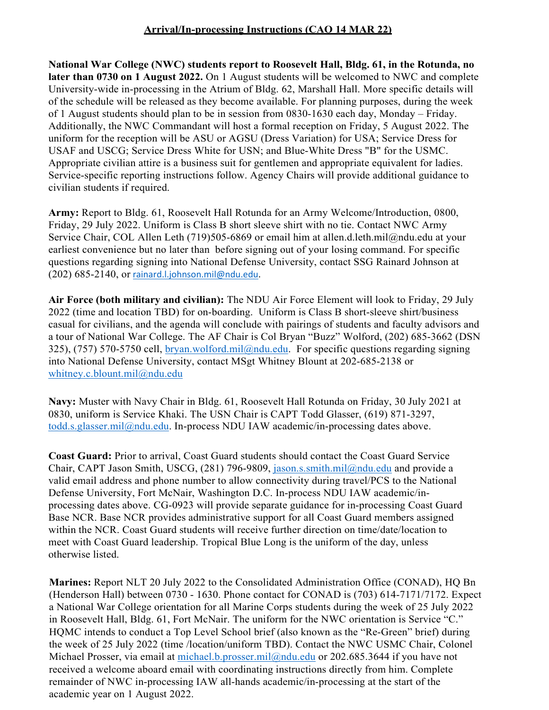## **Arrival/In-processing Instructions (CAO 14 MAR 22)**

**National War College (NWC) students report to Roosevelt Hall, Bldg. 61, in the Rotunda, no later than 0730 on 1 August 2022.** On 1 August students will be welcomed to NWC and complete University-wide in-processing in the Atrium of Bldg. 62, Marshall Hall. More specific details will of the schedule will be released as they become available. For planning purposes, during the week of 1 August students should plan to be in session from 0830-1630 each day, Monday – Friday. Additionally, the NWC Commandant will host a formal reception on Friday, 5 August 2022. The uniform for the reception will be ASU or AGSU (Dress Variation) for USA; Service Dress for USAF and USCG; Service Dress White for USN; and Blue-White Dress "B" for the USMC. Appropriate civilian attire is a business suit for gentlemen and appropriate equivalent for ladies. Service-specific reporting instructions follow. Agency Chairs will provide additional guidance to civilian students if required.

**Army:** Report to Bldg. 61, Roosevelt Hall Rotunda for an Army Welcome/Introduction, 0800, Friday, 29 July 2022. Uniform is Class B short sleeve shirt with no tie. Contact NWC Army Service Chair, COL Allen Leth (719)505-6869 or email him at [allen.d.leth.mil@ndu.edu a](mailto:james.e.hayes.mil@ndu.edu)t your earliest convenience but no later than before signing out of your losing command. For specific questions regarding signing into National Defense University, contact SSG Rainard Johnson at (202) 685-2140, or [rainard.l.johnson.mil@ndu.edu.](mailto:rainard.l.johnson.mil@ndu.edu)

**Air Force (both military and civilian):** The NDU Air Force Element will look to Friday, 29 July 2022 (time and location TBD) for on-boarding. Uniform is Class B short-sleeve shirt/business casual for civilians, and the agenda will conclude with pairings of students and faculty advisors and a tour of National War College. The AF Chair is Col Bryan "Buzz" Wolford, (202) 685-3662 (DSN 325), (757) 570-5750 cell, [bryan.wolford.mil@ndu.edu.](mailto:bryan.wolford.mil@ndu.edu) For specific questions regarding signing into National Defense University, contact MSgt Whitney Blount at 202-685-2138 or [whitney.c.blount.mil@ndu.edu](mailto:whitney.c.blount.mil@ndu.edu)

**Navy:** Muster with Navy Chair in Bldg. 61, Roosevelt Hall Rotunda on Friday, 30 July 2021 at 0830, uniform is Service Khaki. The USN Chair is CAPT Todd Glasser, (619) 871-3297, [todd.s.glasser.mil@ndu.edu.](mailto:todd.s.glasser.mil@ndu.edu) In-process NDU IAW academic/in-processing dates above.

**Coast Guard:** Prior to arrival, Coast Guard students should contact the Coast Guard Service Chair, CAPT Jason Smith, USCG, (281) 796-9809, [jason.s.smith.mil@ndu.edu](mailto:jason.s.smith.mil@ndu.edu) and provide a valid email address and phone number to allow connectivity during travel/PCS to the National Defense University, Fort McNair, Washington D.C. In-process NDU IAW academic/inprocessing dates above. CG-0923 will provide separate guidance for in-processing Coast Guard Base NCR. Base NCR provides administrative support for all Coast Guard members assigned within the NCR. Coast Guard students will receive further direction on time/date/location to meet with Coast Guard leadership. Tropical Blue Long is the uniform of the day, unless otherwise listed.

**Marines:** Report NLT 20 July 2022 to the Consolidated Administration Office (CONAD), HQ Bn (Henderson Hall) between 0730 - 1630. Phone contact for CONAD is (703) 614-7171/7172. Expect a National War College orientation for all Marine Corps students during the week of 25 July 2022 in Roosevelt Hall, Bldg. 61, Fort McNair. The uniform for the NWC orientation is Service "C." HQMC intends to conduct a Top Level School brief (also known as the "Re-Green" brief) during the week of 25 July 2022 (time /location/uniform TBD). Contact the NWC USMC Chair, Colonel Michael Prosser, via email at [michael.b.prosser.mil@ndu.edu](mailto:michael.b.prosser.mil@ndu.edu) or 202.685.3644 if you have not received a welcome aboard email with coordinating instructions directly from him. Complete remainder of NWC in-processing IAW all-hands academic/in-processing at the start of the academic year on 1 August 2022.